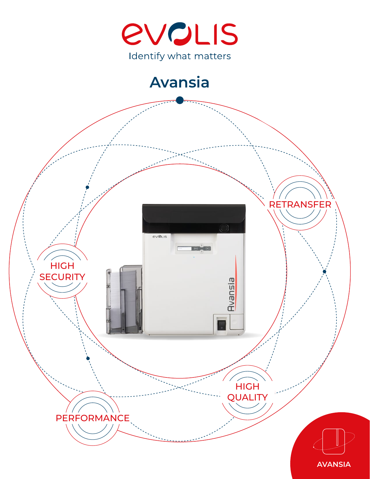

# **Avansia**

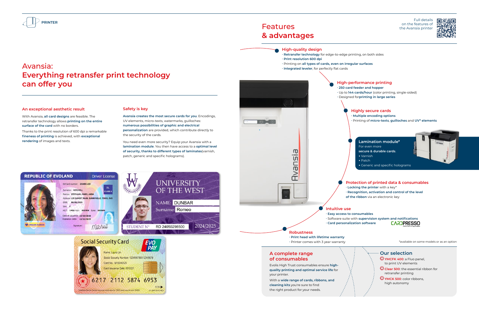## **A complete range of consumables**

Evolis High Trust consumables ensure **highquality printing and optimal service life** for your printer.

## **Features & advantages**

With a **wide range of cards, ribbons, and cleaning kits** you're sure to find the right product for your needs.



## **An exceptional aesthetic result**

With Avansia, **all card designs** are feasible. The retransfer technology allows **printing on the entire surface of the card** with no borders.

Thanks to the print resolution of 600 dpi a remarkable **fineness of printing** is achieved, with **exceptional rendering** of images and texts.

## **Safety is key**

**Avansia creates the most secure cards for you**. Encodings, UV elements, micro-texts, watermarks, guilloches: **numerous possibilities of graphic and electrical personalization** are provided, which contribute directly to the security of the cards.

> **∙ Easy access to consumables ∙** Software suite with **supervision system and notifications ∙ Card personalization software CARDPRESSO**

You need even more security? Equip your Avansia with a **lamination module**. You then have access to a **optimal level of security, thanks to different types of laminates**(varnish, patch, generic and specific holograms).

**UNIVERSITY** 

OF THE WEST

2024/2025

NAME: DUNBAR

Surname: Romeo

RD 24050298500







**High-quality design**

- **∙ Retransfer technology** for edge-to-edge printing, on both sides **∙ Print resolution 600 dpi**
- **∙** Printing on **all types of cards, even on irregular surfaces**
- **∙ Integrated leveler**, for perfectly flat cards

## **High-performance printing**

**∙ 250 card feeder and hopper ∙** Up to **144 cards/hour** (color printing, single-sided) **∙** Designed for**printing in large series**

### **Highly secure cards**

**∙ Multiple encoding options**

**∙** Printing of **micro-texts**, **guilloches** and **UV\* elements**

## **Protection of printed data & consumables**

- **∙ Recognition, activation and control of the level** 
	-

**∙ Locking the printer** with a key\* **of the ribbon** via an electronic key **Intuitive use**

#### **Robustness ∙ Print head with lifetime warranty**

**∙** Printer comes with 3 year warranty

## **Lamination module\*** For even more **secure & durable cards**.

- Varnish
- Patch
- Generic and specific holograms

## **Our selection**

**YMCFK 400**: a Fluo panel, to print UV elements

**Clear 500**: the essential ribbon for retransfer printing

**YMCK 500**: color ribbons, high autonomy

\*available on some models or as an option

Full details on the features of the Avansia printer